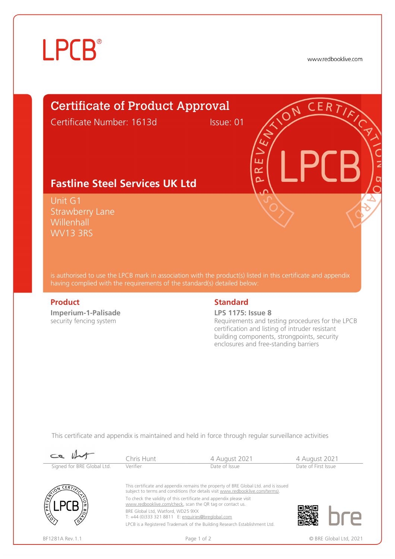# **LPCB**®

www.redbooklive.com

# Certificate of Product Approval

Certificate Number: 1613d Issue: 01

ய œ  $\overline{\mathbf{C}}$ 

## **Fastline Steel Services UK Ltd**

Unit G1 Strawberry Lane **Willenhall** WV13 3RS

is authorised to use the LPCB mark in association with the product(s) listed in this certificate and appendix having complied with the requirements of the standard(s) detailed below:

**Imperium-1-Palisade**  security fencing system

### **Product** Standard **Standard**

### **LPS 1175: Issue 8**

Requirements and testing procedures for the LPCB certification and listing of intruder resistant building components, strongpoints, security enclosures and free-standing barriers

This certificate and appendix is maintained and held in force through regular surveillance activities

| $\mathcal{C}$              | Chris Hunt                                                                                                                                                            | 4 August 2021                                                              | 4 August 2021 |                        |  |
|----------------------------|-----------------------------------------------------------------------------------------------------------------------------------------------------------------------|----------------------------------------------------------------------------|---------------|------------------------|--|
| Signed for BRE Global Ltd. | Verifier                                                                                                                                                              | Date of Issue                                                              |               | Date of First Issue    |  |
| CERT/k                     | This certificate and appendix remains the property of BRE Global Ltd. and is issued<br>subject to terms and conditions (for details visit www.redbooklive.com/terms). |                                                                            |               |                        |  |
| PREVENCE                   | To check the validity of this certificate and appendix please visit<br>www.redbooklive.com/check, scan the QR tag or contact us.                                      |                                                                            |               |                        |  |
|                            | BRE Global Ltd. Watford. WD25 9XX<br>T: +44 (0)333 321 8811 E: enquiries@breglobal.com                                                                                |                                                                            |               |                        |  |
|                            |                                                                                                                                                                       | LPCB is a Registered Trademark of the Building Research Establishment Ltd. |               |                        |  |
| BF1281A Rev. 1.1           |                                                                                                                                                                       | Page 1 of 2                                                                |               | © BRE Global Ltd. 2021 |  |